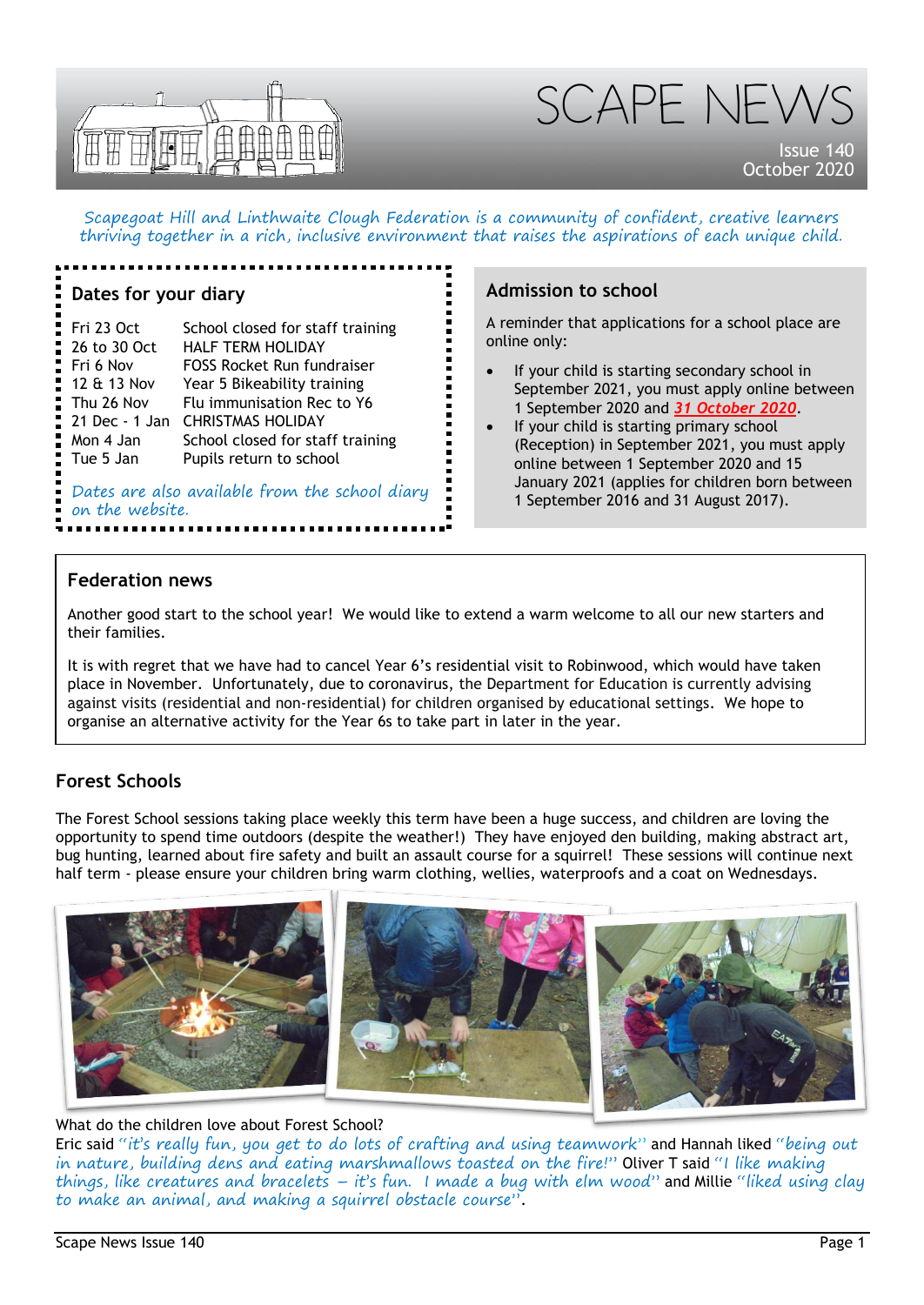



Issue 140 October 2020

Scapegoat Hill and Linthwaite Clough Federation is a community of confident, creative learners thriving together in a rich, inclusive environment that raises the aspirations of each unique child.

### **Dates for your diary**

| Fri 23 Oct     | School closed for staff training |
|----------------|----------------------------------|
| 26 to 30 Oct   | <b>HALF TERM HOLIDAY</b>         |
| Fri 6 Nov      | FOSS Rocket Run fundraiser       |
| 12 & 13 Nov    | Year 5 Bikeability training      |
| Thu 26 Nov     | Flu immunisation Rec to Y6       |
| 21 Dec - 1 Jan | <b>CHRISTMAS HOLIDAY</b>         |
| Mon 4 Jan      | School closed for staff training |
| Tue 5 Jan      | Pupils return to school          |
|                |                                  |

Dates are also available from the school diary on the website.

### **Admission to school**

A reminder that applications for a school place are online only:

- If your child is starting secondary school in September 2021, you must apply online between 1 September 2020 and *31 October 2020*.
- If your child is starting primary school (Reception) in September 2021, you must apply online between 1 September 2020 and 15 January 2021 (applies for children born between 1 September 2016 and 31 August 2017).

### **Federation news**

Another good start to the school year! We would like to extend a warm welcome to all our new starters and their families.

It is with regret that we have had to cancel Year 6's residential visit to Robinwood, which would have taken place in November. Unfortunately, due to coronavirus, the Department for Education is currently advising against visits (residential and non-residential) for children organised by educational settings. We hope to organise an alternative activity for the Year 6s to take part in later in the year.

# **Forest Schools**

The Forest School sessions taking place weekly this term have been a huge success, and children are loving the opportunity to spend time outdoors (despite the weather!) They have enjoyed den building, making abstract art, bug hunting, learned about fire safety and built an assault course for a squirrel! These sessions will continue next half term - please ensure your children bring warm clothing, wellies, waterproofs and a coat on Wednesdays.



### What do the children love about Forest School?

Eric said "it's really fun, you get to do lots of crafting and using teamwork" and Hannah liked "being out in nature, building dens and eating marshmallows toasted on the fire!" Oliver T said "I like making things, like creatures and bracelets  $-$  it's fun. I made a bug with elm wood" and Millie "liked using clay to make an animal, and making a squirrel obstacle course".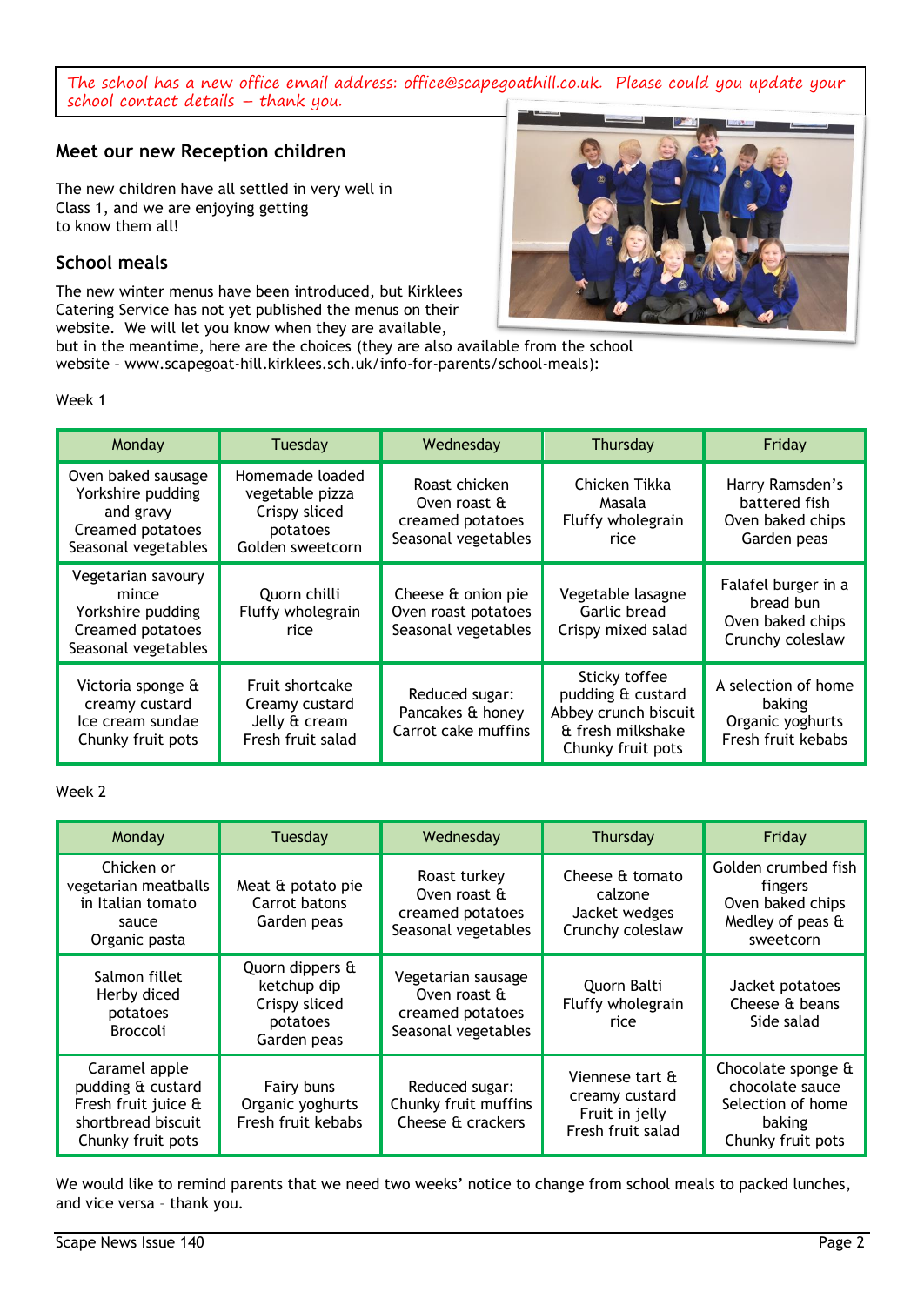The school has a new office email address: office@scapegoathill.co.uk. Please could you update your school contact details – thank you.

### **Meet our new Reception children**

The new children have all settled in very well in Class 1, and we are enjoying getting to know them all!

### **School meals**

The new winter menus have been introduced, but Kirklees Catering Service has not yet published the menus on their website. We will let you know when they are available,

but in the meantime, here are the choices (they are also available from the school website – www.scapegoat-hill.kirklees.sch.uk/info-for-parents/school-meals):

#### Week 1

| Monday                                                                                          | Tuesday                                                                             | Wednesday                                                                | Thursday                                                                                             | Friday                                                                   |  |
|-------------------------------------------------------------------------------------------------|-------------------------------------------------------------------------------------|--------------------------------------------------------------------------|------------------------------------------------------------------------------------------------------|--------------------------------------------------------------------------|--|
| Oven baked sausage<br>Yorkshire pudding<br>and gravy<br>Creamed potatoes<br>Seasonal vegetables | Homemade loaded<br>vegetable pizza<br>Crispy sliced<br>potatoes<br>Golden sweetcorn | Roast chicken<br>Oven roast &<br>creamed potatoes<br>Seasonal vegetables | Chicken Tikka<br>Masala<br>Fluffy wholegrain<br>rice                                                 | Harry Ramsden's<br>battered fish<br>Oven baked chips<br>Garden peas      |  |
| Vegetarian savoury<br>mince<br>Yorkshire pudding<br>Creamed potatoes<br>Seasonal vegetables     | Quorn chilli<br>Fluffy wholegrain<br>rice                                           |                                                                          | Vegetable lasagne<br>Garlic bread<br>Crispy mixed salad                                              | Falafel burger in a<br>bread bun<br>Oven baked chips<br>Crunchy coleslaw |  |
| Victoria sponge &<br>creamy custard<br>Ice cream sundae<br>Chunky fruit pots                    | Fruit shortcake<br>Creamy custard<br>Jelly & cream<br>Fresh fruit salad             |                                                                          | Sticky toffee<br>pudding & custard<br>Abbey crunch biscuit<br>& fresh milkshake<br>Chunky fruit pots | A selection of home<br>baking<br>Organic yoghurts<br>Fresh fruit kebabs  |  |

#### Week 2

| Monday                                                                                                                                                       | Tuesday                                                                                                                                                     | Wednesday                                                               | Thursday                                                                 | Friday                                                                                    |  |
|--------------------------------------------------------------------------------------------------------------------------------------------------------------|-------------------------------------------------------------------------------------------------------------------------------------------------------------|-------------------------------------------------------------------------|--------------------------------------------------------------------------|-------------------------------------------------------------------------------------------|--|
| Chicken or<br>vegetarian meatballs<br>in Italian tomato<br>sauce<br>Organic pasta                                                                            | Meat & potato pie<br>Carrot batons<br>Garden peas                                                                                                           | Roast turkey<br>Oven roast &<br>creamed potatoes<br>Seasonal vegetables | Cheese & tomato<br>calzone<br>Jacket wedges<br>Crunchy coleslaw          | Golden crumbed fish<br>fingers<br>Oven baked chips<br>Medley of peas &<br>sweetcorn       |  |
| Salmon fillet<br>Herby diced<br>potatoes<br><b>Broccoli</b>                                                                                                  | Quorn dippers &<br>Vegetarian sausage<br>ketchup dip<br>Oven roast &<br>Crispy sliced<br>creamed potatoes<br>potatoes<br>Seasonal vegetables<br>Garden peas |                                                                         | Quorn Balti<br>Fluffy wholegrain<br>rice                                 | Jacket potatoes<br>Cheese & beans<br>Side salad                                           |  |
| Caramel apple<br>pudding & custard<br>Fairy buns<br>Fresh fruit juice &<br>Organic yoghurts<br>Fresh fruit kebabs<br>shortbread biscuit<br>Chunky fruit pots |                                                                                                                                                             | Reduced sugar:<br>Chunky fruit muffins<br>Cheese & crackers             | Viennese tart &<br>creamy custard<br>Fruit in jelly<br>Fresh fruit salad | Chocolate sponge &<br>chocolate sauce<br>Selection of home<br>baking<br>Chunky fruit pots |  |

We would like to remind parents that we need two weeks' notice to change from school meals to packed lunches, and vice versa – thank you.

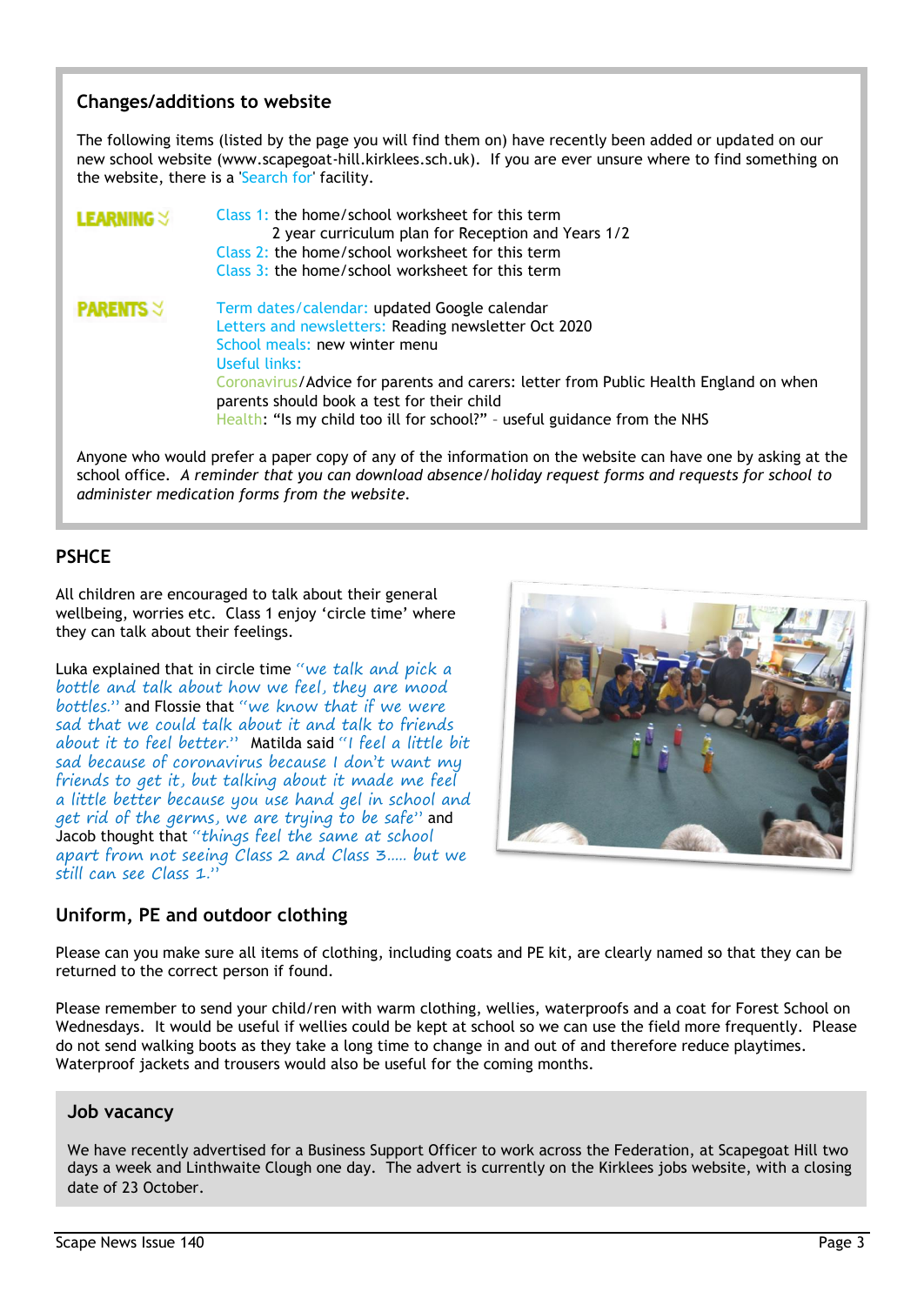### **Changes/additions to website**

The following items (listed by the page you will find them on) have recently been added or updated on our new school website (www.scapegoat-hill.kirklees.sch.uk). If you are ever unsure where to find something on the website, there is a 'Search for' facility.

Class 1: the home/school worksheet for this term **LEARNING**  2 year curriculum plan for Reception and Years 1/2 Class 2: the home/school worksheet for this term Class 3: the home/school worksheet for this term **PARENTS 3** Term dates/calendar: updated Google calendar Letters and newsletters: Reading newsletter Oct 2020 School meals: new winter menu Useful links: Coronavirus/Advice for parents and carers: letter from Public Health England on when parents should book a test for their child Health: "Is my child too ill for school?" – useful guidance from the NHS

Anyone who would prefer a paper copy of any of the information on the website can have one by asking at the school office. *A reminder that you can download absence/holiday request forms and requests for school to administer medication forms from the website.*

### **PSHCE**

All children are encouraged to talk about their general wellbeing, worries etc. Class 1 enjoy 'circle time' where they can talk about their feelings.

Luka explained that in circle time "we talk and pick a bottle and talk about how we feel, they are mood bottles." and Flossie that "we know that if we were sad that we could talk about it and talk to friends about it to feel better." Matilda said "I feel a little bit sad because of coronavirus because I don't want my friends to get it, but talking about it made me feel a little better because you use hand gel in school and get rid of the germs, we are trying to be safe" and Jacob thought that "things feel the same at school apart from not seeing Class 2 and Class 3..... but we still can see Class 1."



### **Uniform, PE and outdoor clothing**

Please can you make sure all items of clothing, including coats and PE kit, are clearly named so that they can be returned to the correct person if found.

Please remember to send your child/ren with warm clothing, wellies, waterproofs and a coat for Forest School on Wednesdays. It would be useful if wellies could be kept at school so we can use the field more frequently. Please do not send walking boots as they take a long time to change in and out of and therefore reduce playtimes. Waterproof jackets and trousers would also be useful for the coming months.

### **Job vacancy**

We have recently advertised for a Business Support Officer to work across the Federation, at Scapegoat Hill two days a week and Linthwaite Clough one day. The advert is currently on the Kirklees jobs website, with a closing date of 23 October.